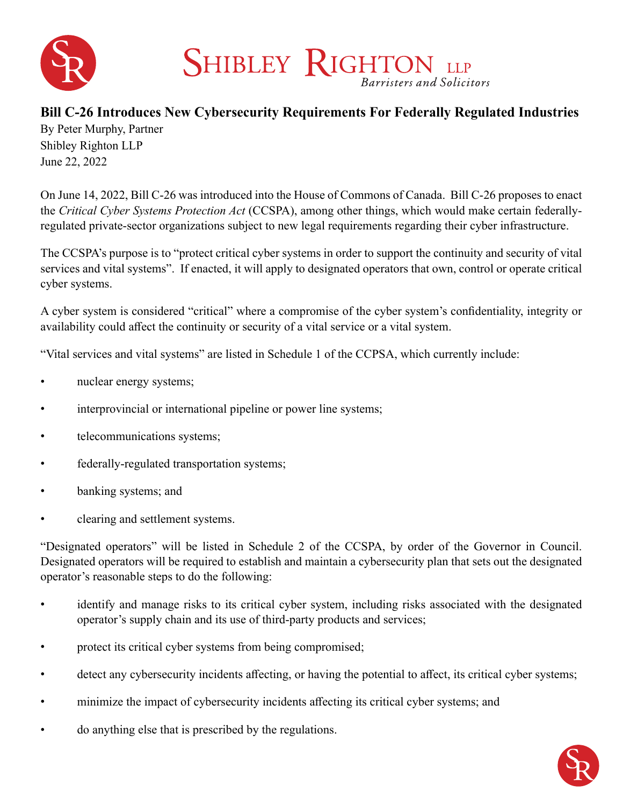



## **Bill C-26 Introduces New Cybersecurity Requirements For Federally Regulated Industries**

By Peter Murphy, Partner Shibley Righton LLP June 22, 2022

On June 14, 2022, Bill C-26 was introduced into the House of Commons of Canada. Bill C-26 proposes to enact the *Critical Cyber Systems Protection Act* (CCSPA), among other things, which would make certain federallyregulated private-sector organizations subject to new legal requirements regarding their cyber infrastructure.

The CCSPA's purpose is to "protect critical cyber systems in order to support the continuity and security of vital services and vital systems". If enacted, it will apply to designated operators that own, control or operate critical cyber systems.

A cyber system is considered "critical" where a compromise of the cyber system's confidentiality, integrity or availability could affect the continuity or security of a vital service or a vital system.

"Vital services and vital systems" are listed in Schedule 1 of the CCPSA, which currently include:

- nuclear energy systems;
- interprovincial or international pipeline or power line systems;
- telecommunications systems;
- federally-regulated transportation systems;
- banking systems; and
- clearing and settlement systems.

"Designated operators" will be listed in Schedule 2 of the CCSPA, by order of the Governor in Council. Designated operators will be required to establish and maintain a cybersecurity plan that sets out the designated operator's reasonable steps to do the following:

- identify and manage risks to its critical cyber system, including risks associated with the designated operator's supply chain and its use of third-party products and services;
- protect its critical cyber systems from being compromised;
- detect any cybersecurity incidents affecting, or having the potential to affect, its critical cyber systems;
- minimize the impact of cybersecurity incidents affecting its critical cyber systems; and
- do anything else that is prescribed by the regulations.